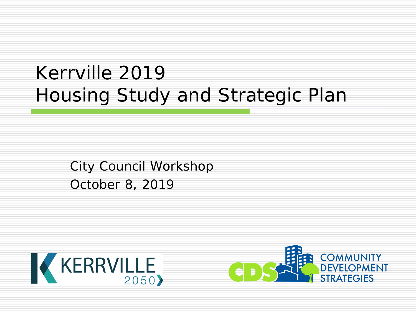# Kerrville 2019 Housing Study and Strategic Plan

City Council Workshop October 8, 2019



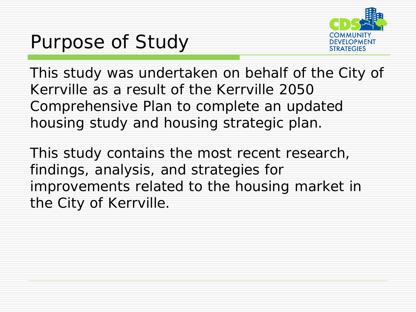# Purpose of Study



This study was undertaken on behalf of the City of Kerrville as a result of the Kerrville 2050 Comprehensive Plan to complete an updated housing study and housing strategic plan.

This study contains the most recent research, findings, analysis, and strategies for improvements related to the housing market in the City of Kerrville.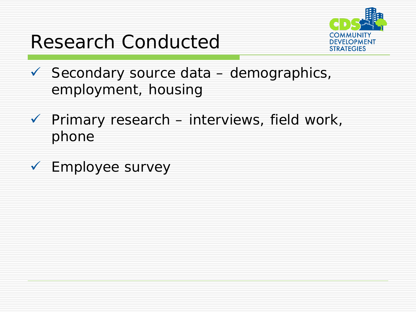# Research Conducted



- $\checkmark$  Secondary source data demographics, employment, housing
- $\checkmark$  Primary research interviews, field work, phone
- Employee survey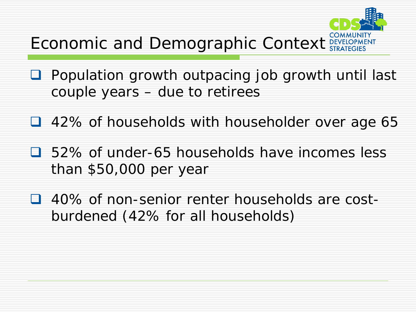

- **Q** Population growth outpacing job growth until last couple years – due to retirees
- 42% of households with householder over age 65
- 52% of under-65 households have incomes less than \$50,000 per year
- 40% of non-senior renter households are costburdened (42% for all households)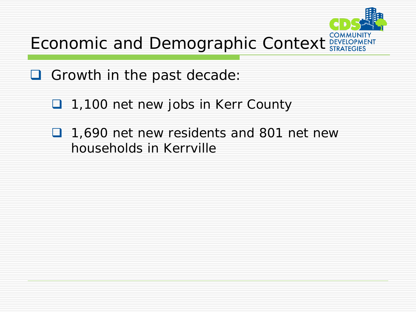

- Growth in the past decade:
	- □ 1,100 net new jobs in Kerr County
	- □ 1,690 net new residents and 801 net new households in Kerrville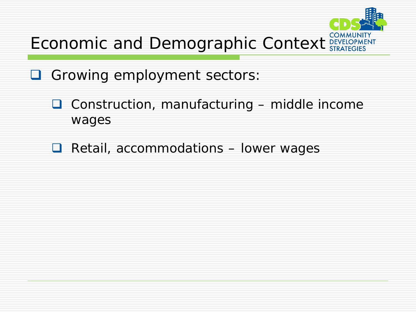

- Growing employment sectors:
	- $\Box$  Construction, manufacturing middle income wages
	- $\Box$  Retail, accommodations  $-$  lower wages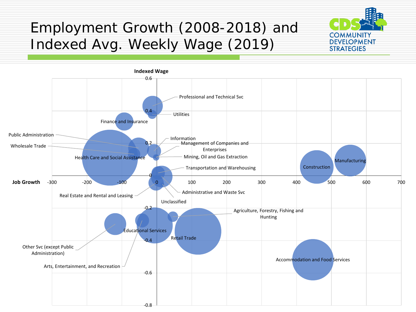#### Employment Growth (2008-2018) and Indexed Avg. Weekly Wage (2019)



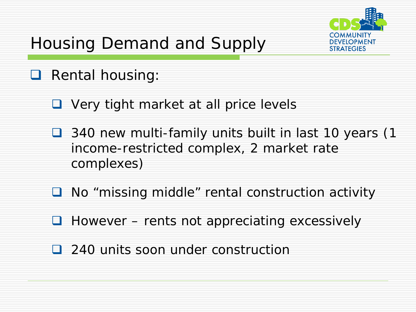# Housing Demand and Supply



#### **Q** Rental housing:

- Very tight market at all price levels
- 340 new multi-family units built in last 10 years (1 income-restricted complex, 2 market rate complexes)
- No "missing middle" rental construction activity
- $\Box$  However rents not appreciating excessively
- 240 units soon under construction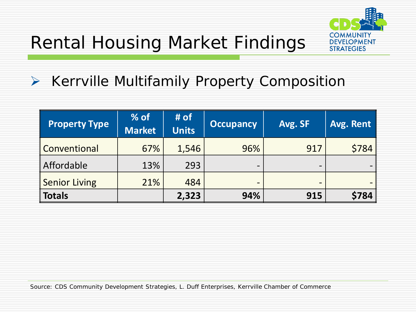



#### $\triangleright$  Kerrville Multifamily Property Composition

| <b>Property Type</b> | $%$ of<br><b>Market</b> | # of<br><b>Units</b> | <b>Occupancy</b>                                                                                                                                                                                                                                                                                                                                              | Avg. SF                      | Avg. Rent |
|----------------------|-------------------------|----------------------|---------------------------------------------------------------------------------------------------------------------------------------------------------------------------------------------------------------------------------------------------------------------------------------------------------------------------------------------------------------|------------------------------|-----------|
| Conventional         | 67%                     | 1,546                | 96%                                                                                                                                                                                                                                                                                                                                                           | 917                          | \$784     |
| Affordable           | 13%                     | 293                  | $\overline{\phantom{a}}$                                                                                                                                                                                                                                                                                                                                      | $\overline{\phantom{a}}$     |           |
| <b>Senior Living</b> | 21%                     | 484                  | $\hskip1.6pt\hskip1.6pt\hskip1.6pt\hskip1.6pt\hskip1.6pt\hskip1.6pt\hskip1.6pt\hskip1.6pt\hskip1.6pt\hskip1.6pt\hskip1.6pt\hskip1.6pt\hskip1.6pt\hskip1.6pt\hskip1.6pt\hskip1.6pt\hskip1.6pt\hskip1.6pt\hskip1.6pt\hskip1.6pt\hskip1.6pt\hskip1.6pt\hskip1.6pt\hskip1.6pt\hskip1.6pt\hskip1.6pt\hskip1.6pt\hskip1.6pt\hskip1.6pt\hskip1.6pt\hskip1.6pt\hskip$ | $\qquad \qquad \blacksquare$ |           |
| <b>Totals</b>        |                         | 2,323                | 94%                                                                                                                                                                                                                                                                                                                                                           | 915                          | \$784     |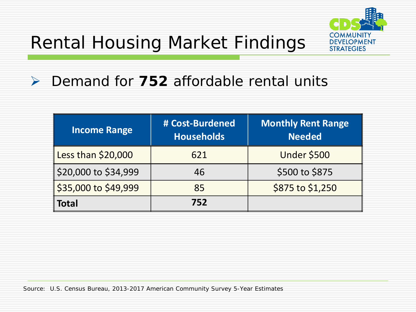

#### Demand for **752** affordable rental units

| <b>Income Range</b>  | # Cost-Burdened<br><b>Households</b> | <b>Monthly Rent Range</b><br><b>Needed</b> |  |
|----------------------|--------------------------------------|--------------------------------------------|--|
| Less than \$20,000   | 621                                  | <b>Under \$500</b>                         |  |
| \$20,000 to \$34,999 | 46                                   | \$500 to \$875                             |  |
| \$35,000 to \$49,999 | 85                                   | \$875 to \$1,250                           |  |
| <b>Total</b>         | 752                                  |                                            |  |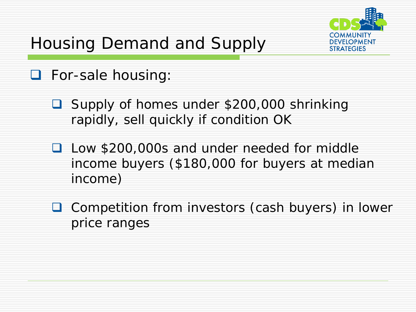

# Housing Demand and Supply

#### **D** For-sale housing:

- Supply of homes under \$200,000 shrinking rapidly, sell quickly if condition OK
- **Q** Low \$200,000s and under needed for middle income buyers (\$180,000 for buyers at median income)
- **□** Competition from investors (cash buyers) in lower price ranges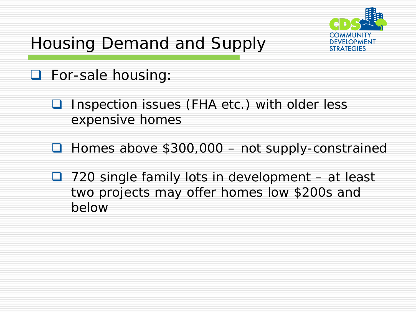# Housing Demand and Supply



- **D** For-sale housing:
	- **□** Inspection issues (FHA etc.) with older less expensive homes
	- Homes above \$300,000 not supply-constrained
	- $\Box$  720 single family lots in development at least two projects may offer homes low \$200s and below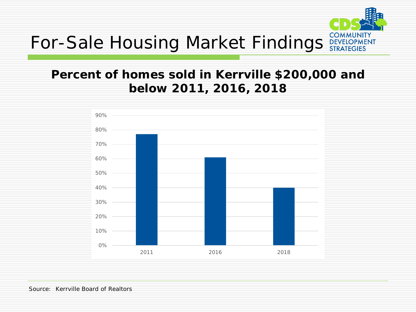

#### **Percent of homes sold in Kerrville \$200,000 and below 2011, 2016, 2018**

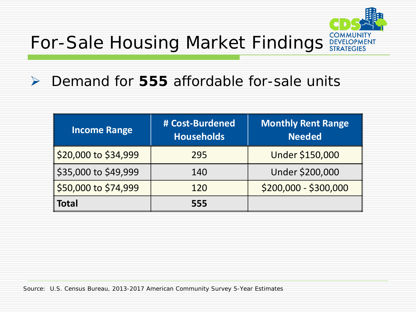

#### Demand for **555** affordable for-sale units

| <b>Income Range</b>  | # Cost-Burdened<br><b>Households</b> | <b>Monthly Rent Range</b><br><b>Needed</b> |  |
|----------------------|--------------------------------------|--------------------------------------------|--|
| \$20,000 to \$34,999 | 295                                  | Under \$150,000                            |  |
| \$35,000 to \$49,999 | 140                                  | Under \$200,000                            |  |
| \$50,000 to \$74,999 | 120                                  | $$200,000 - $300,000$                      |  |
| <b>Total</b>         | 555                                  |                                            |  |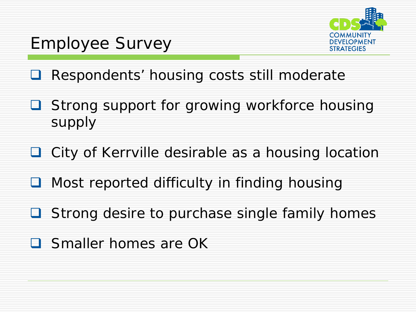

### Employee Survey

- **Respondents' housing costs still moderate**
- Strong support for growing workforce housing supply
- **Q** City of Kerrville desirable as a housing location
- Most reported difficulty in finding housing
- **□** Strong desire to purchase single family homes
- **Smaller homes are OK**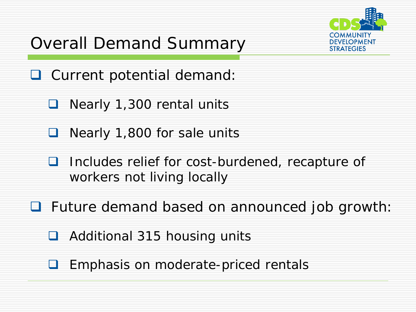### Overall Demand Summary



- **Q** Current potential demand:
	- Nearly 1,300 rental units
	- **Nearly 1,800 for sale units**
	- □ Includes relief for cost-burdened, recapture of workers not living locally
- **Future demand based on announced job growth:** 
	- **□** Additional 315 housing units
	- **Emphasis on moderate-priced rentals**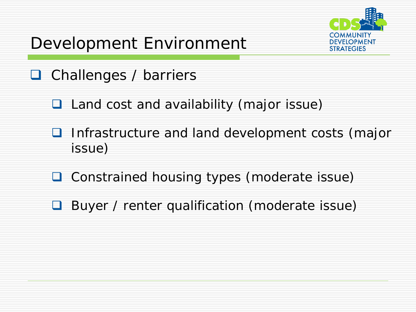



- **Q** Challenges / barriers
	- **Q** Land cost and availability (major issue)
	- **I** Infrastructure and land development costs (major issue)
	- **□** Constrained housing types (moderate issue)
	- **Buyer / renter qualification (moderate issue)**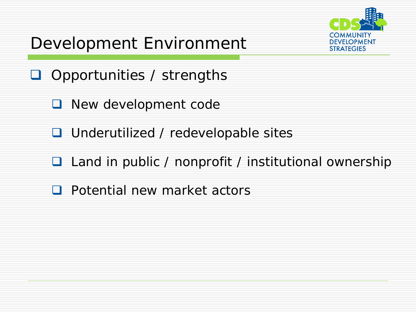



- **O** Opportunities / strengths
	- **Q** New development code
	- **Q** Underutilized / redevelopable sites
	- □ Land in public / nonprofit / institutional ownership
	- **Q** Potential new market actors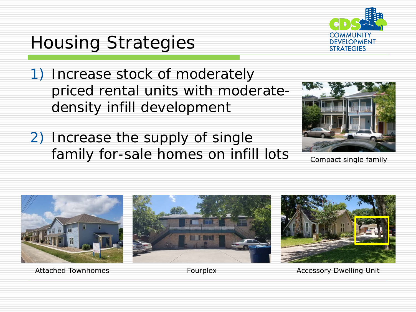

# Housing Strategies

- 1) Increase stock of moderately priced rental units with moderatedensity infill development
- 2) Increase the supply of single family for-sale homes on infill lots Compact single family





Attached Townhomes **Fourplex** Fourplex Accessory Dwelling Unit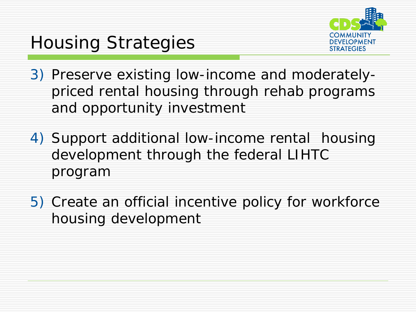# Housing Strategies



- 3) Preserve existing low-income and moderatelypriced rental housing through rehab programs and opportunity investment
- 4) Support additional low-income rental housing development through the federal LIHTC program
- 5) Create an official incentive policy for workforce housing development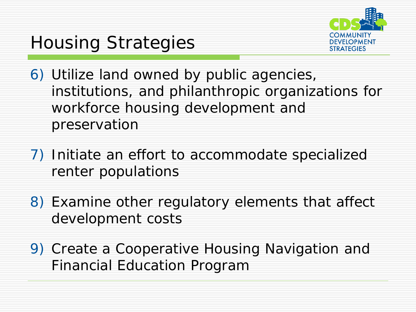

# Housing Strategies

- 6) Utilize land owned by public agencies, institutions, and philanthropic organizations for workforce housing development and preservation
- 7) Initiate an effort to accommodate specialized renter populations
- 8) Examine other regulatory elements that affect development costs
- 9) Create a Cooperative Housing Navigation and Financial Education Program